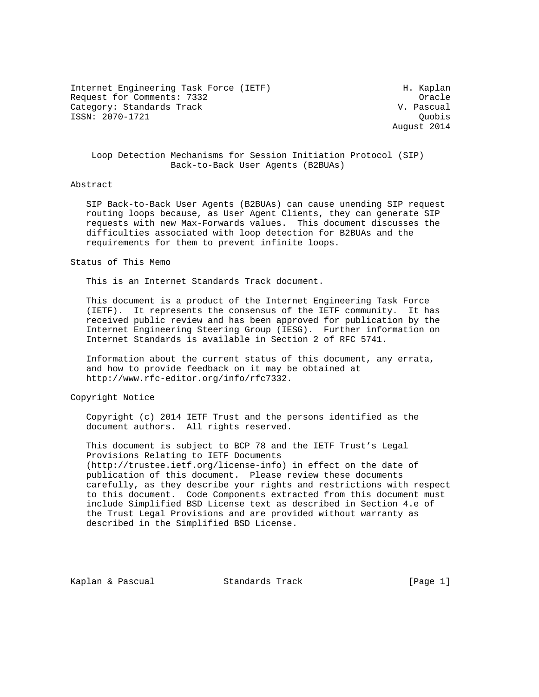Internet Engineering Task Force (IETF) The Muslim H. Kaplan Request for Comments: 7332 Crackers and the Comments of the Comments of the Comments of the Comments of the Comments of the Comments of the Comments of the Comments of the Comments of the Comments of the Comments of the Co Category: Standards Track V. Pascual ISSN: 2070-1721 Quobis

August 2014

# Loop Detection Mechanisms for Session Initiation Protocol (SIP) Back-to-Back User Agents (B2BUAs)

### Abstract

 SIP Back-to-Back User Agents (B2BUAs) can cause unending SIP request routing loops because, as User Agent Clients, they can generate SIP requests with new Max-Forwards values. This document discusses the difficulties associated with loop detection for B2BUAs and the requirements for them to prevent infinite loops.

#### Status of This Memo

This is an Internet Standards Track document.

 This document is a product of the Internet Engineering Task Force (IETF). It represents the consensus of the IETF community. It has received public review and has been approved for publication by the Internet Engineering Steering Group (IESG). Further information on Internet Standards is available in Section 2 of RFC 5741.

 Information about the current status of this document, any errata, and how to provide feedback on it may be obtained at http://www.rfc-editor.org/info/rfc7332.

Copyright Notice

 Copyright (c) 2014 IETF Trust and the persons identified as the document authors. All rights reserved.

 This document is subject to BCP 78 and the IETF Trust's Legal Provisions Relating to IETF Documents (http://trustee.ietf.org/license-info) in effect on the date of publication of this document. Please review these documents carefully, as they describe your rights and restrictions with respect to this document. Code Components extracted from this document must include Simplified BSD License text as described in Section 4.e of the Trust Legal Provisions and are provided without warranty as described in the Simplified BSD License.

Kaplan & Pascual Standards Track [Page 1]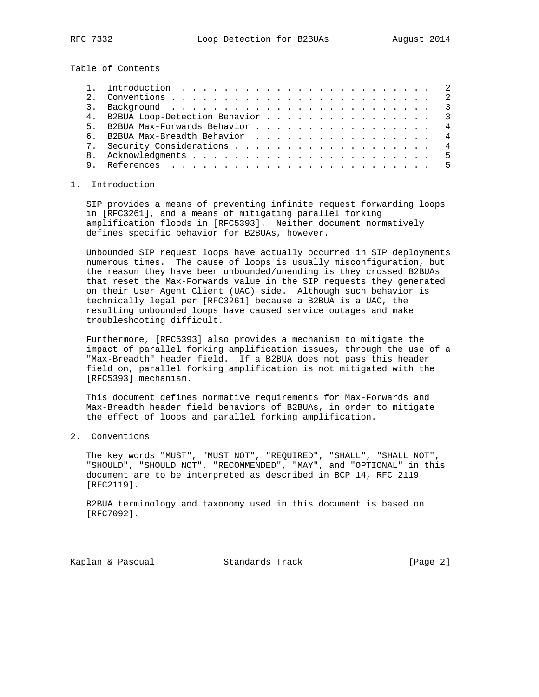Table of Contents

| 4. B2BUA Loop-Detection Behavior 3 |  |
|------------------------------------|--|
| 5. B2BUA Max-Forwards Behavior 4   |  |
| 6. B2BUA Max-Breadth Behavior 4    |  |
| 7. Security Considerations 4       |  |
|                                    |  |
| References                         |  |

### 1. Introduction

 SIP provides a means of preventing infinite request forwarding loops in [RFC3261], and a means of mitigating parallel forking amplification floods in [RFC5393]. Neither document normatively defines specific behavior for B2BUAs, however.

 Unbounded SIP request loops have actually occurred in SIP deployments numerous times. The cause of loops is usually misconfiguration, but the reason they have been unbounded/unending is they crossed B2BUAs that reset the Max-Forwards value in the SIP requests they generated on their User Agent Client (UAC) side. Although such behavior is technically legal per [RFC3261] because a B2BUA is a UAC, the resulting unbounded loops have caused service outages and make troubleshooting difficult.

 Furthermore, [RFC5393] also provides a mechanism to mitigate the impact of parallel forking amplification issues, through the use of a "Max-Breadth" header field. If a B2BUA does not pass this header field on, parallel forking amplification is not mitigated with the [RFC5393] mechanism.

 This document defines normative requirements for Max-Forwards and Max-Breadth header field behaviors of B2BUAs, in order to mitigate the effect of loops and parallel forking amplification.

2. Conventions

 The key words "MUST", "MUST NOT", "REQUIRED", "SHALL", "SHALL NOT", "SHOULD", "SHOULD NOT", "RECOMMENDED", "MAY", and "OPTIONAL" in this document are to be interpreted as described in BCP 14, RFC 2119 [RFC2119].

 B2BUA terminology and taxonomy used in this document is based on [RFC7092].

Kaplan & Pascual Standards Track [Page 2]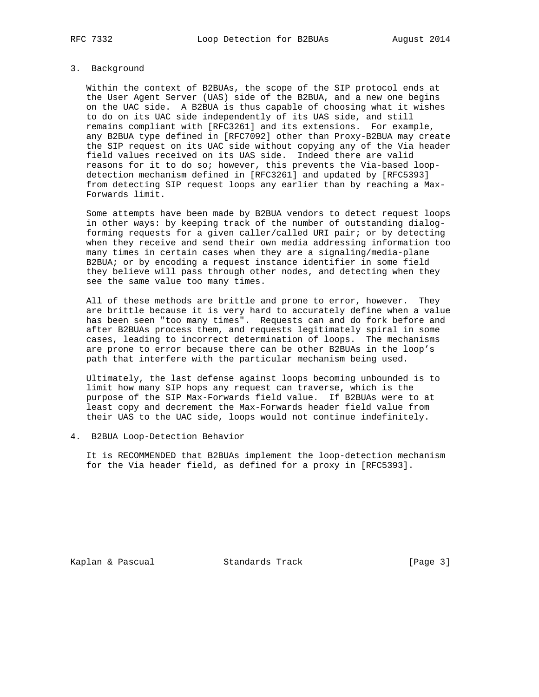# 3. Background

 Within the context of B2BUAs, the scope of the SIP protocol ends at the User Agent Server (UAS) side of the B2BUA, and a new one begins on the UAC side. A B2BUA is thus capable of choosing what it wishes to do on its UAC side independently of its UAS side, and still remains compliant with [RFC3261] and its extensions. For example, any B2BUA type defined in [RFC7092] other than Proxy-B2BUA may create the SIP request on its UAC side without copying any of the Via header field values received on its UAS side. Indeed there are valid reasons for it to do so; however, this prevents the Via-based loop detection mechanism defined in [RFC3261] and updated by [RFC5393] from detecting SIP request loops any earlier than by reaching a Max- Forwards limit.

 Some attempts have been made by B2BUA vendors to detect request loops in other ways: by keeping track of the number of outstanding dialog forming requests for a given caller/called URI pair; or by detecting when they receive and send their own media addressing information too many times in certain cases when they are a signaling/media-plane B2BUA; or by encoding a request instance identifier in some field they believe will pass through other nodes, and detecting when they see the same value too many times.

 All of these methods are brittle and prone to error, however. They are brittle because it is very hard to accurately define when a value has been seen "too many times". Requests can and do fork before and after B2BUAs process them, and requests legitimately spiral in some cases, leading to incorrect determination of loops. The mechanisms are prone to error because there can be other B2BUAs in the loop's path that interfere with the particular mechanism being used.

 Ultimately, the last defense against loops becoming unbounded is to limit how many SIP hops any request can traverse, which is the purpose of the SIP Max-Forwards field value. If B2BUAs were to at least copy and decrement the Max-Forwards header field value from their UAS to the UAC side, loops would not continue indefinitely.

#### 4. B2BUA Loop-Detection Behavior

 It is RECOMMENDED that B2BUAs implement the loop-detection mechanism for the Via header field, as defined for a proxy in [RFC5393].

Kaplan & Pascual Standards Track [Page 3]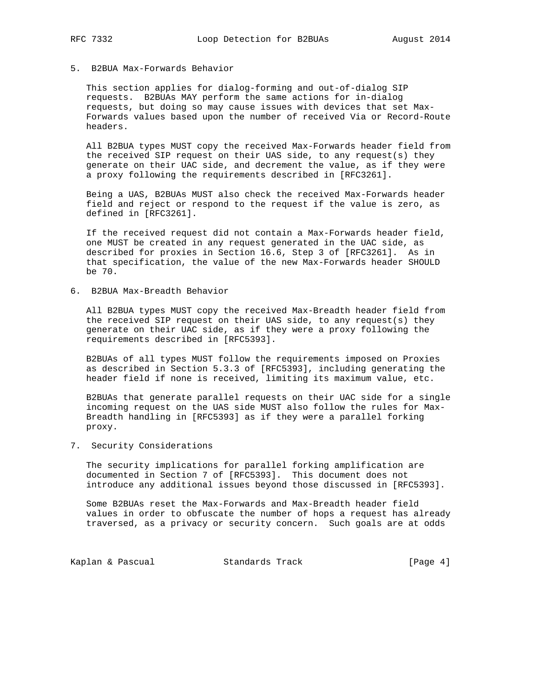### 5. B2BUA Max-Forwards Behavior

 This section applies for dialog-forming and out-of-dialog SIP requests. B2BUAs MAY perform the same actions for in-dialog requests, but doing so may cause issues with devices that set Max- Forwards values based upon the number of received Via or Record-Route headers.

 All B2BUA types MUST copy the received Max-Forwards header field from the received SIP request on their UAS side, to any request(s) they generate on their UAC side, and decrement the value, as if they were a proxy following the requirements described in [RFC3261].

 Being a UAS, B2BUAs MUST also check the received Max-Forwards header field and reject or respond to the request if the value is zero, as defined in [RFC3261].

 If the received request did not contain a Max-Forwards header field, one MUST be created in any request generated in the UAC side, as described for proxies in Section 16.6, Step 3 of [RFC3261]. As in that specification, the value of the new Max-Forwards header SHOULD be 70.

6. B2BUA Max-Breadth Behavior

 All B2BUA types MUST copy the received Max-Breadth header field from the received SIP request on their UAS side, to any request(s) they generate on their UAC side, as if they were a proxy following the requirements described in [RFC5393].

 B2BUAs of all types MUST follow the requirements imposed on Proxies as described in Section 5.3.3 of [RFC5393], including generating the header field if none is received, limiting its maximum value, etc.

 B2BUAs that generate parallel requests on their UAC side for a single incoming request on the UAS side MUST also follow the rules for Max- Breadth handling in [RFC5393] as if they were a parallel forking proxy.

7. Security Considerations

 The security implications for parallel forking amplification are documented in Section 7 of [RFC5393]. This document does not introduce any additional issues beyond those discussed in [RFC5393].

 Some B2BUAs reset the Max-Forwards and Max-Breadth header field values in order to obfuscate the number of hops a request has already traversed, as a privacy or security concern. Such goals are at odds

Kaplan & Pascual Standards Track [Page 4]